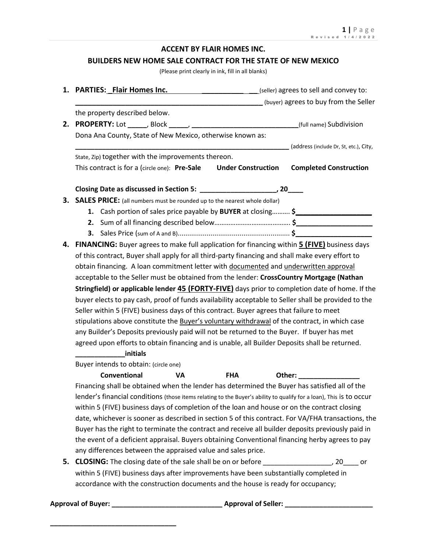## **ACCENT BY FLAIR HOMES INC.**

### **BUILDERS NEW HOME SALE CONTRACT FOR THE STATE OF NEW MEXICO**

(Please print clearly in ink, fill in all blanks)

|    | 1. PARTIES: Flair Homes Inc.<br>(seller) agrees to sell and convey to:                                              |                                        |  |  |
|----|---------------------------------------------------------------------------------------------------------------------|----------------------------------------|--|--|
|    |                                                                                                                     | (buyer) agrees to buy from the Seller  |  |  |
|    | the property described below.                                                                                       |                                        |  |  |
| 2. |                                                                                                                     |                                        |  |  |
|    | Dona Ana County, State of New Mexico, otherwise known as:                                                           |                                        |  |  |
|    |                                                                                                                     | [address (include Dr, St, etc.), City, |  |  |
|    | State, Zip) together with the improvements thereon.                                                                 |                                        |  |  |
|    | This contract is for a (circle one): Pre-Sale<br><b>Under Construction</b>                                          | <b>Completed Construction</b>          |  |  |
|    |                                                                                                                     |                                        |  |  |
|    | 3. SALES PRICE: (all numbers must be rounded up to the nearest whole dollar)                                        |                                        |  |  |
|    | 1. Cash portion of sales price payable by BUYER at closing \$                                                       |                                        |  |  |
|    |                                                                                                                     |                                        |  |  |
|    |                                                                                                                     |                                        |  |  |
| 4. | FINANCING: Buyer agrees to make full application for financing within <b>5 (FIVE)</b> business days                 |                                        |  |  |
|    | of this contract, Buyer shall apply for all third-party financing and shall make every effort to                    |                                        |  |  |
|    | obtain financing. A loan commitment letter with documented and underwritten approval                                |                                        |  |  |
|    | acceptable to the Seller must be obtained from the lender: CrossCountry Mortgage (Nathan                            |                                        |  |  |
|    | Stringfield) or applicable lender 45 (FORTY-FIVE) days prior to completion date of home. If the                     |                                        |  |  |
|    | buyer elects to pay cash, proof of funds availability acceptable to Seller shall be provided to the                 |                                        |  |  |
|    | Seller within 5 (FIVE) business days of this contract. Buyer agrees that failure to meet                            |                                        |  |  |
|    | stipulations above constitute the Buyer's voluntary withdrawal of the contract, in which case                       |                                        |  |  |
|    | any Builder's Deposits previously paid will not be returned to the Buyer. If buyer has met                          |                                        |  |  |
|    | agreed upon efforts to obtain financing and is unable, all Builder Deposits shall be returned.                      |                                        |  |  |
|    | initials                                                                                                            |                                        |  |  |
|    | Buyer intends to obtain: (circle one)                                                                               |                                        |  |  |
|    | <b>Conventional</b><br>VA<br><b>FHA</b>                                                                             | Other: _________________               |  |  |
|    | Financing shall be obtained when the lender has determined the Buyer has satisfied all of the                       |                                        |  |  |
|    | lender's financial conditions (those items relating to the Buyer's ability to qualify for a loan), This is to occur |                                        |  |  |
|    | within 5 (FIVE) business days of completion of the loan and house or on the contract closing                        |                                        |  |  |
|    | date, whichever is sooner as described in section 5 of this contract. For VA/FHA transactions, the                  |                                        |  |  |
|    | Buyer has the right to terminate the contract and receive all builder deposits previously paid in                   |                                        |  |  |
|    | the event of a deficient appraisal. Buyers obtaining Conventional financing herby agrees to pay                     |                                        |  |  |
|    | any differences between the appraised value and sales price.                                                        |                                        |  |  |
| 5. | CLOSING: The closing date of the sale shall be on or before _____________________, 20_____ or                       |                                        |  |  |
|    | within 5 (FIVE) business days after improvements have been substantially completed in                               |                                        |  |  |
|    | accordance with the construction documents and the house is ready for occupancy;                                    |                                        |  |  |

**\_\_\_\_\_\_\_\_\_\_\_\_\_\_\_\_\_\_\_\_\_\_\_\_\_\_\_\_\_\_\_\_\_**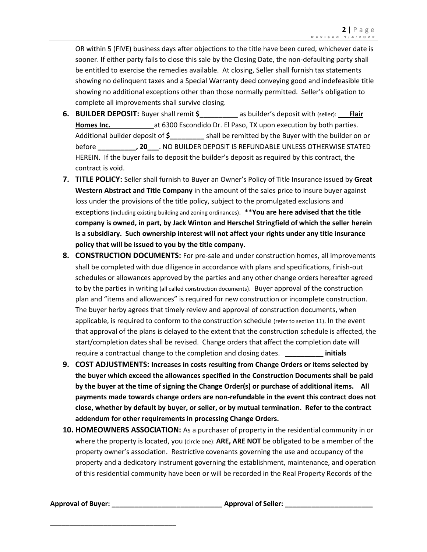OR within 5 (FIVE) business days after objections to the title have been cured, whichever date is sooner. If either party fails to close this sale by the Closing Date, the non-defaulting party shall be entitled to exercise the remedies available. At closing, Seller shall furnish tax statements showing no delinquent taxes and a Special Warranty deed conveying good and indefeasible title showing no additional exceptions other than those normally permitted. Seller's obligation to complete all improvements shall survive closing.

- **6. BUILDER DEPOSIT:** Buyer shall remit **\$\_\_\_\_\_\_\_\_\_\_** as builder's deposit with (seller): **Flair Homes Inc.** at 6300 Escondido Dr. El Paso, TX upon execution by both parties. Additional builder deposit of **\$\_\_\_\_\_\_\_\_\_** shall be remitted by the Buyer with the builder on or before **\_\_\_\_\_\_\_\_\_\_, 20\_\_\_**. NO BUILDER DEPOSIT IS REFUNDABLE UNLESS OTHERWISE STATED HEREIN. If the buyer fails to deposit the builder's deposit as required by this contract, the contract is void.
- **7. TITLE POLICY:** Seller shall furnish to Buyer an Owner's Policy of Title Insurance issued by **Great Western Abstract and Title Company** in the amount of the sales price to insure buyer against loss under the provisions of the title policy, subject to the promulgated exclusions and exceptions (including existing building and zoning ordinances). \*\***You are here advised that the title company is owned, in part, by Jack Winton and Herschel Stringfield of which the seller herein is a subsidiary. Such ownership interest will not affect your rights under any title insurance policy that will be issued to you by the title company.**
- **8. CONSTRUCTION DOCUMENTS:** For pre-sale and under construction homes, all improvements shall be completed with due diligence in accordance with plans and specifications, finish-out schedules or allowances approved by the parties and any other change orders hereafter agreed to by the parties in writing (all called construction documents). Buyer approval of the construction plan and "items and allowances" is required for new construction or incomplete construction. The buyer herby agrees that timely review and approval of construction documents, when applicable, is required to conform to the construction schedule (refer to section 11). In the event that approval of the plans is delayed to the extent that the construction schedule is affected, the start/completion dates shall be revised. Change orders that affect the completion date will require a contractual change to the completion and closing dates. **\_\_\_\_\_\_\_\_\_\_ initials**
- **9. COST ADJUSTMENTS: Increases in costs resulting from Change Orders or items selected by the buyer which exceed the allowances specified in the Construction Documents shall be paid by the buyer at the time of signing the Change Order(s) or purchase of additional items. All payments made towards change orders are non-refundable in the event this contract does not close, whether by default by buyer, or seller, or by mutual termination. Refer to the contract addendum for other requirements in processing Change Orders.**
- **10. HOMEOWNERS ASSOCIATION:** As a purchaser of property in the residential community in or where the property is located, you (circle one): **ARE, ARE NOT** be obligated to be a member of the property owner's association. Restrictive covenants governing the use and occupancy of the property and a dedicatory instrument governing the establishment, maintenance, and operation of this residential community have been or will be recorded in the Real Property Records of the

**Approval of Buyer: \_\_\_\_\_\_\_\_\_\_\_\_\_\_\_\_\_\_\_\_\_\_\_\_\_\_\_\_\_ Approval of Seller: \_\_\_\_\_\_\_\_\_\_\_\_\_\_\_\_\_\_\_\_\_\_\_**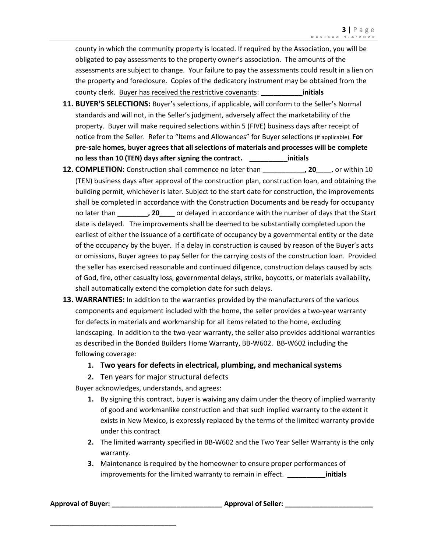county in which the community property is located. If required by the Association, you will be obligated to pay assessments to the property owner's association. The amounts of the assessments are subject to change. Your failure to pay the assessments could result in a lien on the property and foreclosure. Copies of the dedicatory instrument may be obtained from the county clerk. Buyer has received the restrictive covenants: **\_\_\_\_\_\_\_\_\_\_initials**

- **11. BUYER'S SELECTIONS:** Buyer's selections, if applicable, will conform to the Seller's Normal standards and will not, in the Seller's judgment, adversely affect the marketability of the property. Buyer will make required selections within 5 (FIVE) business days after receipt of notice from the Seller. Refer to "Items and Allowances" for Buyer selections (if applicable). **For pre-sale homes, buyer agrees that all selections of materials and processes will be complete no less than 10 (TEN) days after signing the contract. \_\_\_\_\_\_\_\_\_\_initials**
- **12. COMPLETION:** Construction shall commence no later than **\_\_\_\_\_\_\_\_\_\_\_, 20\_\_\_\_**, or within 10 (TEN) business days after approval of the construction plan, construction loan, and obtaining the building permit, whichever is later. Subject to the start date for construction, the improvements shall be completed in accordance with the Construction Documents and be ready for occupancy no later than **\_\_\_\_\_\_\_\_, 20\_\_\_\_** or delayed in accordance with the number of days that the Start date is delayed. The improvements shall be deemed to be substantially completed upon the earliest of either the issuance of a certificate of occupancy by a governmental entity or the date of the occupancy by the buyer. If a delay in construction is caused by reason of the Buyer's acts or omissions, Buyer agrees to pay Seller for the carrying costs of the construction loan. Provided the seller has exercised reasonable and continued diligence, construction delays caused by acts of God, fire, other casualty loss, governmental delays, strike, boycotts, or materials availability, shall automatically extend the completion date for such delays.
- **13. WARRANTIES:** In addition to the warranties provided by the manufacturers of the various components and equipment included with the home, the seller provides a two-year warranty for defects in materials and workmanship for all items related to the home, excluding landscaping. In addition to the two-year warranty, the seller also provides additional warranties as described in the Bonded Builders Home Warranty, BB-W602. BB-W602 including the following coverage:
	- **1. Two years for defects in electrical, plumbing, and mechanical systems**
	- **2.** Ten years for major structural defects

Buyer acknowledges, understands, and agrees:

- **1.** By signing this contract, buyer is waiving any claim under the theory of implied warranty of good and workmanlike construction and that such implied warranty to the extent it exists in New Mexico, is expressly replaced by the terms of the limited warranty provide under this contract
- **2.** The limited warranty specified in BB-W602 and the Two Year Seller Warranty is the only warranty.
- **3.** Maintenance is required by the homeowner to ensure proper performances of improvements for the limited warranty to remain in effect. **\_\_\_\_\_\_\_\_\_\_initials**

**Approval of Buyer: \_\_\_\_\_\_\_\_\_\_\_\_\_\_\_\_\_\_\_\_\_\_\_\_\_\_\_\_\_ Approval of Seller: \_\_\_\_\_\_\_\_\_\_\_\_\_\_\_\_\_\_\_\_\_\_\_**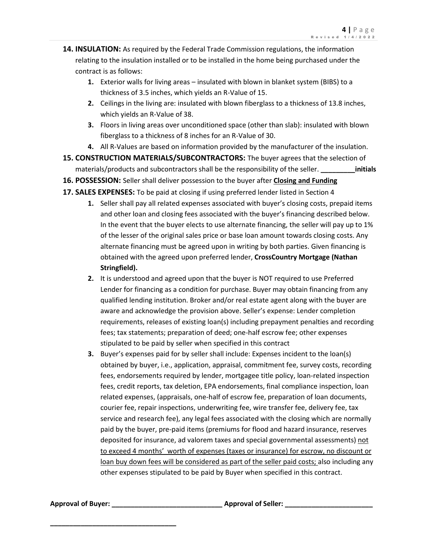- **14. INSULATION:** As required by the Federal Trade Commission regulations, the information relating to the insulation installed or to be installed in the home being purchased under the contract is as follows:
	- **1.** Exterior walls for living areas insulated with blown in blanket system (BIBS) to a thickness of 3.5 inches, which yields an R-Value of 15.
	- **2.** Ceilings in the living are: insulated with blown fiberglass to a thickness of 13.8 inches, which yields an R-Value of 38.
	- **3.** Floors in living areas over unconditioned space (other than slab): insulated with blown fiberglass to a thickness of 8 inches for an R-Value of 30.
	- **4.** All R-Values are based on information provided by the manufacturer of the insulation.
- **15. CONSTRUCTION MATERIALS/SUBCONTRACTORS:** The buyer agrees that the selection of materials/products and subcontractors shall be the responsibility of the seller. **\_\_\_\_\_\_\_\_\_initials**
- **16. POSSESSION:** Seller shall deliver possession to the buyer after **Closing and Funding 17. SALES EXPENSES:** To be paid at closing if using preferred lender listed in Section 4
	- **1.** Seller shall pay all related expenses associated with buyer's closing costs, prepaid items and other loan and closing fees associated with the buyer's financing described below. In the event that the buyer elects to use alternate financing, the seller will pay up to 1% of the lesser of the original sales price or base loan amount towards closing costs. Any alternate financing must be agreed upon in writing by both parties. Given financing is obtained with the agreed upon preferred lender, **CrossCountry Mortgage (Nathan Stringfield).**
	- **2.** It is understood and agreed upon that the buyer is NOT required to use Preferred Lender for financing as a condition for purchase. Buyer may obtain financing from any qualified lending institution. Broker and/or real estate agent along with the buyer are aware and acknowledge the provision above. Seller's expense: Lender completion requirements, releases of existing loan(s) including prepayment penalties and recording fees; tax statements; preparation of deed; one-half escrow fee; other expenses stipulated to be paid by seller when specified in this contract
	- **3.** Buyer's expenses paid for by seller shall include: Expenses incident to the loan(s) obtained by buyer, i.e., application, appraisal, commitment fee, survey costs, recording fees, endorsements required by lender, mortgagee title policy, loan-related inspection fees, credit reports, tax deletion, EPA endorsements, final compliance inspection, loan related expenses, (appraisals, one-half of escrow fee, preparation of loan documents, courier fee, repair inspections, underwriting fee, wire transfer fee, delivery fee, tax service and research fee), any legal fees associated with the closing which are normally paid by the buyer, pre-paid items (premiums for flood and hazard insurance, reserves deposited for insurance, ad valorem taxes and special governmental assessments) not to exceed 4 months' worth of expenses (taxes or insurance) for escrow, no discount or loan buy down fees will be considered as part of the seller paid costs; also including any other expenses stipulated to be paid by Buyer when specified in this contract.

**Approval of Buyer: \_\_\_\_\_\_\_\_\_\_\_\_\_\_\_\_\_\_\_\_\_\_\_\_\_\_\_\_\_ Approval of Seller: \_\_\_\_\_\_\_\_\_\_\_\_\_\_\_\_\_\_\_\_\_\_\_**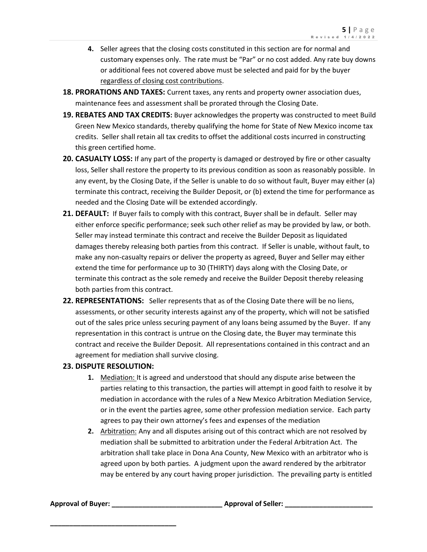- **4.** Seller agrees that the closing costs constituted in this section are for normal and customary expenses only. The rate must be "Par" or no cost added. Any rate buy downs or additional fees not covered above must be selected and paid for by the buyer regardless of closing cost contributions.
- **18. PRORATIONS AND TAXES:** Current taxes, any rents and property owner association dues, maintenance fees and assessment shall be prorated through the Closing Date.
- **19. REBATES AND TAX CREDITS:** Buyer acknowledges the property was constructed to meet Build Green New Mexico standards, thereby qualifying the home for State of New Mexico income tax credits. Seller shall retain all tax credits to offset the additional costs incurred in constructing this green certified home.
- **20. CASUALTY LOSS:** If any part of the property is damaged or destroyed by fire or other casualty loss, Seller shall restore the property to its previous condition as soon as reasonably possible. In any event, by the Closing Date, if the Seller is unable to do so without fault, Buyer may either (a) terminate this contract, receiving the Builder Deposit, or (b) extend the time for performance as needed and the Closing Date will be extended accordingly.
- **21. DEFAULT:** If Buyer fails to comply with this contract, Buyer shall be in default. Seller may either enforce specific performance; seek such other relief as may be provided by law, or both. Seller may instead terminate this contract and receive the Builder Deposit as liquidated damages thereby releasing both parties from this contract. If Seller is unable, without fault, to make any non-casualty repairs or deliver the property as agreed, Buyer and Seller may either extend the time for performance up to 30 (THIRTY) days along with the Closing Date, or terminate this contract as the sole remedy and receive the Builder Deposit thereby releasing both parties from this contract.
- **22. REPRESENTATIONS:** Seller represents that as of the Closing Date there will be no liens, assessments, or other security interests against any of the property, which will not be satisfied out of the sales price unless securing payment of any loans being assumed by the Buyer. If any representation in this contract is untrue on the Closing date, the Buyer may terminate this contract and receive the Builder Deposit. All representations contained in this contract and an agreement for mediation shall survive closing.

### **23. DISPUTE RESOLUTION:**

**\_\_\_\_\_\_\_\_\_\_\_\_\_\_\_\_\_\_\_\_\_\_\_\_\_\_\_\_\_\_\_\_\_**

- **1.** Mediation: It is agreed and understood that should any dispute arise between the parties relating to this transaction, the parties will attempt in good faith to resolve it by mediation in accordance with the rules of a New Mexico Arbitration Mediation Service, or in the event the parties agree, some other profession mediation service. Each party agrees to pay their own attorney's fees and expenses of the mediation
- **2.** Arbitration: Any and all disputes arising out of this contract which are not resolved by mediation shall be submitted to arbitration under the Federal Arbitration Act. The arbitration shall take place in Dona Ana County, New Mexico with an arbitrator who is agreed upon by both parties. A judgment upon the award rendered by the arbitrator may be entered by any court having proper jurisdiction. The prevailing party is entitled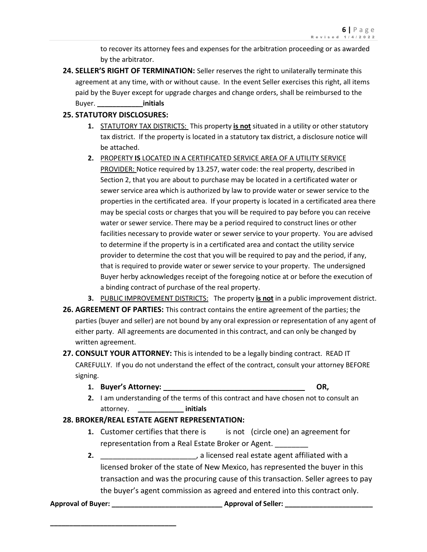to recover its attorney fees and expenses for the arbitration proceeding or as awarded by the arbitrator.

**24. SELLER'S RIGHT OF TERMINATION:** Seller reserves the right to unilaterally terminate this agreement at any time, with or without cause. In the event Seller exercises this right, all items paid by the Buyer except for upgrade charges and change orders, shall be reimbursed to the Buyer. **\_\_\_\_\_\_\_\_\_\_\_\_initials**

# **25. STATUTORY DISCLOSURES:**

- **1.** STATUTORY TAX DISTRICTS: This property **is not** situated in a utility or other statutory tax district. If the property is located in a statutory tax district, a disclosure notice will be attached.
- **2.** PROPERTY **IS** LOCATED IN A CERTIFICATED SERVICE AREA OF A UTILITY SERVICE PROVIDER: Notice required by 13.257, water code: the real property, described in Section 2, that you are about to purchase may be located in a certificated water or sewer service area which is authorized by law to provide water or sewer service to the properties in the certificated area. If your property is located in a certificated area there may be special costs or charges that you will be required to pay before you can receive water or sewer service. There may be a period required to construct lines or other facilities necessary to provide water or sewer service to your property. You are advised to determine if the property is in a certificated area and contact the utility service provider to determine the cost that you will be required to pay and the period, if any, that is required to provide water or sewer service to your property. The undersigned Buyer herby acknowledges receipt of the foregoing notice at or before the execution of a binding contract of purchase of the real property.
- **3.** PUBLIC IMPROVEMENT DISTRICTS: The property **is not** in a public improvement district.
- **26. AGREEMENT OF PARTIES:** This contract contains the entire agreement of the parties; the parties (buyer and seller) are not bound by any oral expression or representation of any agent of either party. All agreements are documented in this contract, and can only be changed by written agreement.
- **27. CONSULT YOUR ATTORNEY:** This is intended to be a legally binding contract. READ IT CAREFULLY. If you do not understand the effect of the contract, consult your attorney BEFORE signing.
	- **1. Buyer's Attorney: \_\_\_\_\_\_\_\_\_\_\_\_\_\_\_\_\_\_\_\_\_\_\_\_\_\_\_\_\_\_\_\_\_\_ OR,**
	- **2.** I am understanding of the terms of this contract and have chosen not to consult an attorney. **\_\_\_\_\_\_\_\_\_\_\_\_ initials**

# **28. BROKER/REAL ESTATE AGENT REPRESENTATION:**

- **1.** Customer certifies that there is is not (circle one) an agreement for representation from a Real Estate Broker or Agent.
- **2.** \_\_\_\_\_\_\_\_\_\_\_\_\_\_\_\_\_\_\_\_\_\_\_, a licensed real estate agent affiliated with a licensed broker of the state of New Mexico, has represented the buyer in this transaction and was the procuring cause of this transaction. Seller agrees to pay the buyer's agent commission as agreed and entered into this contract only.

**\_\_\_\_\_\_\_\_\_\_\_\_\_\_\_\_\_\_\_\_\_\_\_\_\_\_\_\_\_\_\_\_\_**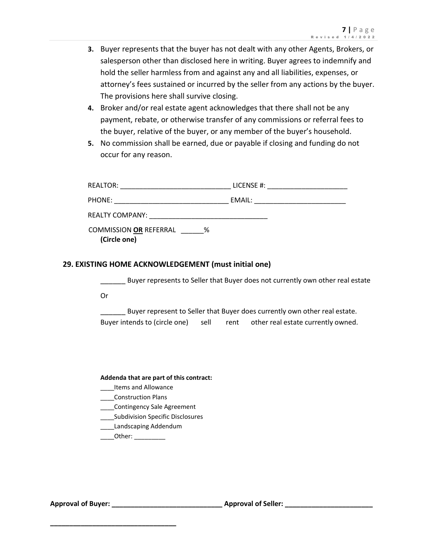- **3.** Buyer represents that the buyer has not dealt with any other Agents, Brokers, or salesperson other than disclosed here in writing. Buyer agrees to indemnify and hold the seller harmless from and against any and all liabilities, expenses, or attorney's fees sustained or incurred by the seller from any actions by the buyer. The provisions here shall survive closing.
- **4.** Broker and/or real estate agent acknowledges that there shall not be any payment, rebate, or otherwise transfer of any commissions or referral fees to the buyer, relative of the buyer, or any member of the buyer's household.
- **5.** No commission shall be earned, due or payable if closing and funding do not occur for any reason.

| REALTOR:                                      | LICENSE #: |
|-----------------------------------------------|------------|
| PHONE:                                        | EMAIL:     |
| <b>REALTY COMPANY:</b>                        |            |
| <b>COMMISSION OR REFERRAL</b><br>(Circle one) | ℅          |

# **29. EXISTING HOME ACKNOWLEDGEMENT (must initial one)**

Buyer represents to Seller that Buyer does not currently own other real estate

Or

Buyer represent to Seller that Buyer does currently own other real estate. Buyer intends to (circle one) sell rent other real estate currently owned.

#### **Addenda that are part of this contract:**

- \_\_\_\_Items and Allowance
- \_\_\_\_Construction Plans
- \_\_\_\_Contingency Sale Agreement
- \_\_\_\_Subdivision Specific Disclosures
- \_\_\_\_Landscaping Addendum

\_\_\_\_\_\_Other: \_\_\_\_\_\_\_\_\_\_

**Approval of Buyer: \_\_\_\_\_\_\_\_\_\_\_\_\_\_\_\_\_\_\_\_\_\_\_\_\_\_\_\_\_ Approval of Seller: \_\_\_\_\_\_\_\_\_\_\_\_\_\_\_\_\_\_\_\_\_\_\_**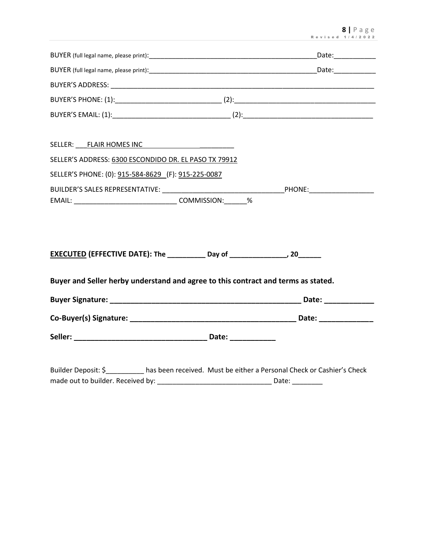| SELLER: FLAIR HOMES INC<br>SELLER'S ADDRESS: 6300 ESCONDIDO DR. EL PASO TX 79912<br>SELLER'S PHONE: (0): 915-584-8629 (F): 915-225-0087 |  |
|-----------------------------------------------------------------------------------------------------------------------------------------|--|
| EXECUTED (EFFECTIVE DATE): The ___________ Day of _____________________, 20_______                                                      |  |
| Buyer and Seller herby understand and agree to this contract and terms as stated.                                                       |  |
|                                                                                                                                         |  |
|                                                                                                                                         |  |
|                                                                                                                                         |  |
| Builder Deposit: \$ _______ has been received. Must be either a Personal Check or Cashier's Check                                       |  |